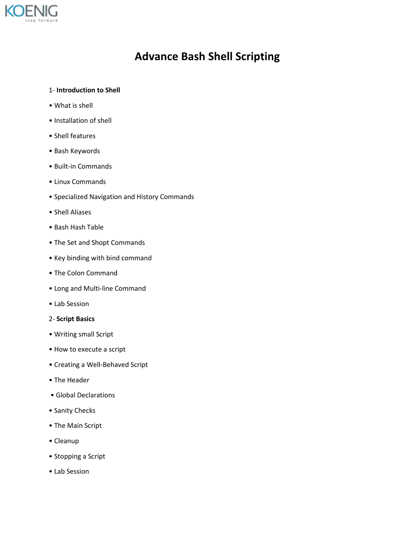

# **Advance Bash Shell Scripting**

## 1- **Introduction to Shell**

- What is shell
- Installation of shell
- Shell features
- Bash Keywords
- Built-in Commands
- Linux Commands
- Specialized Navigation and History Commands
- Shell Aliases
- Bash Hash Table
- The Set and Shopt Commands
- Key binding with bind command
- The Colon Command
- Long and Multi-line Command
- Lab Session

#### 2- **Script Basics**

- Writing small Script
- How to execute a script
- Creating a Well-Behaved Script
- The Header
- Global Declarations
- Sanity Checks
- The Main Script
- Cleanup
- Stopping a Script
- Lab Session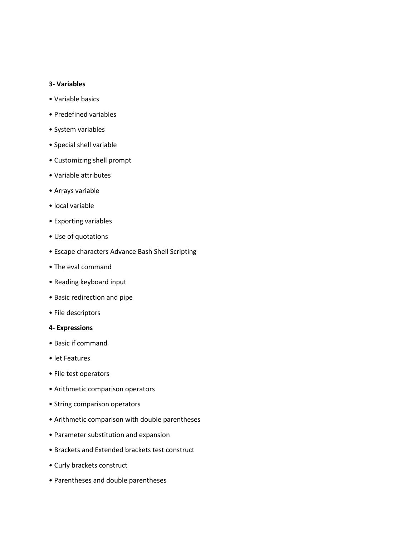#### **3- Variables**

- Variable basics
- Predefined variables
- System variables
- Special shell variable
- Customizing shell prompt
- Variable attributes
- Arrays variable
- local variable
- Exporting variables
- Use of quotations
- Escape characters Advance Bash Shell Scripting
- The eval command
- Reading keyboard input
- Basic redirection and pipe
- File descriptors

## **4- Expressions**

- Basic if command
- let Features
- File test operators
- Arithmetic comparison operators
- String comparison operators
- Arithmetic comparison with double parentheses
- Parameter substitution and expansion
- Brackets and Extended brackets test construct
- Curly brackets construct
- Parentheses and double parentheses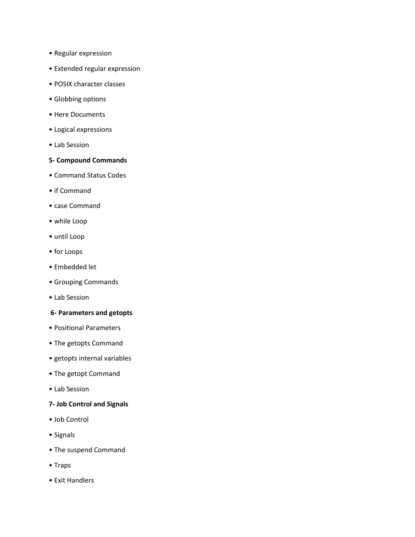- Regular expression
- Extended regular expression
- POSIX character classes
- Globbing options
- Here Documents
- Logical expressions
- Lab Session

## **5- Compound Commands**

- Command Status Codes
- if Command
- case Command
- while Loop
- until Loop
- for Loops
- Embedded let
- Grouping Commands
- Lab Session

## **6- Parameters and getopts**

- Positional Parameters
- The getopts Command
- getopts internal variables
- The getopt Command
- Lab Session

## **7- Job Control and Signals**

- Job Control
- Signals
- The suspend Command
- Traps
- Exit Handlers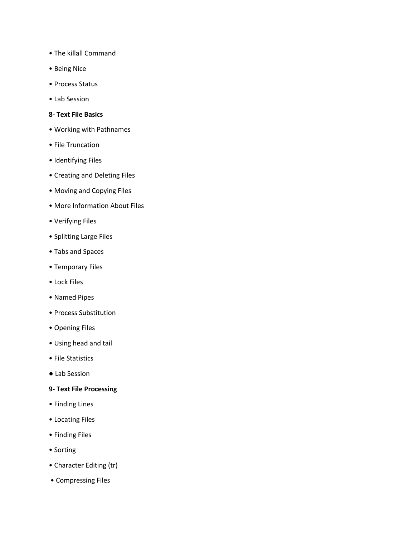- The killall Command
- Being Nice
- Process Status
- Lab Session

#### **8- Text File Basics**

- Working with Pathnames
- File Truncation
- Identifying Files
- Creating and Deleting Files
- Moving and Copying Files
- More Information About Files
- Verifying Files
- Splitting Large Files
- Tabs and Spaces
- Temporary Files
- Lock Files
- Named Pipes
- Process Substitution
- Opening Files
- Using head and tail
- File Statistics
- Lab Session

## **9- Text File Processing**

- Finding Lines
- Locating Files
- Finding Files
- Sorting
- Character Editing (tr)
- Compressing Files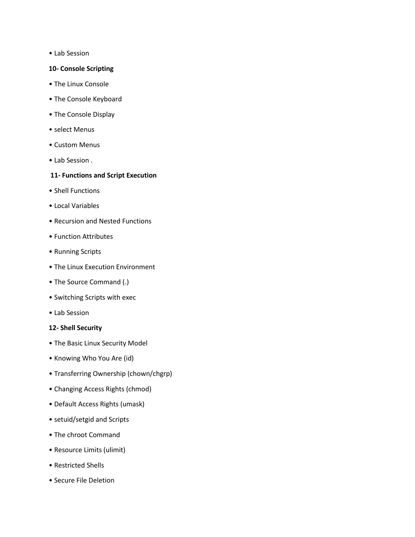• Lab Session

## **10- Console Scripting**

- The Linux Console
- The Console Keyboard
- The Console Display
- select Menus
- Custom Menus
- Lab Session .

## **11- Functions and Script Execution**

- Shell Functions
- Local Variables
- Recursion and Nested Functions
- Function Attributes
- Running Scripts
- The Linux Execution Environment
- The Source Command (.)
- Switching Scripts with exec
- Lab Session

## **12- Shell Security**

- The Basic Linux Security Model
- Knowing Who You Are (id)
- Transferring Ownership (chown/chgrp)
- Changing Access Rights (chmod)
- Default Access Rights (umask)
- setuid/setgid and Scripts
- The chroot Command
- Resource Limits (ulimit)
- Restricted Shells
- Secure File Deletion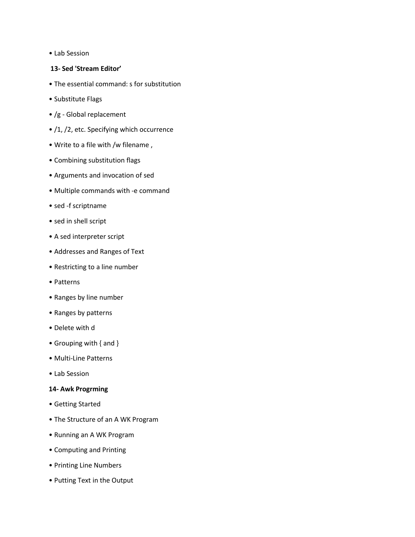• Lab Session

## **13- Sed 'Stream Editor'**

- The essential command: s for substitution
- Substitute Flags
- /g Global replacement
- /1, /2, etc. Specifying which occurrence
- Write to a file with /w filename ,
- Combining substitution flags
- Arguments and invocation of sed
- Multiple commands with -e command
- sed -f scriptname
- sed in shell script
- A sed interpreter script
- Addresses and Ranges of Text
- Restricting to a line number
- Patterns
- Ranges by line number
- Ranges by patterns
- Delete with d
- Grouping with { and }
- Multi-Line Patterns
- Lab Session

#### **14- Awk Progrming**

- Getting Started
- The Structure of an A WK Program
- Running an A WK Program
- Computing and Printing
- Printing Line Numbers
- Putting Text in the Output